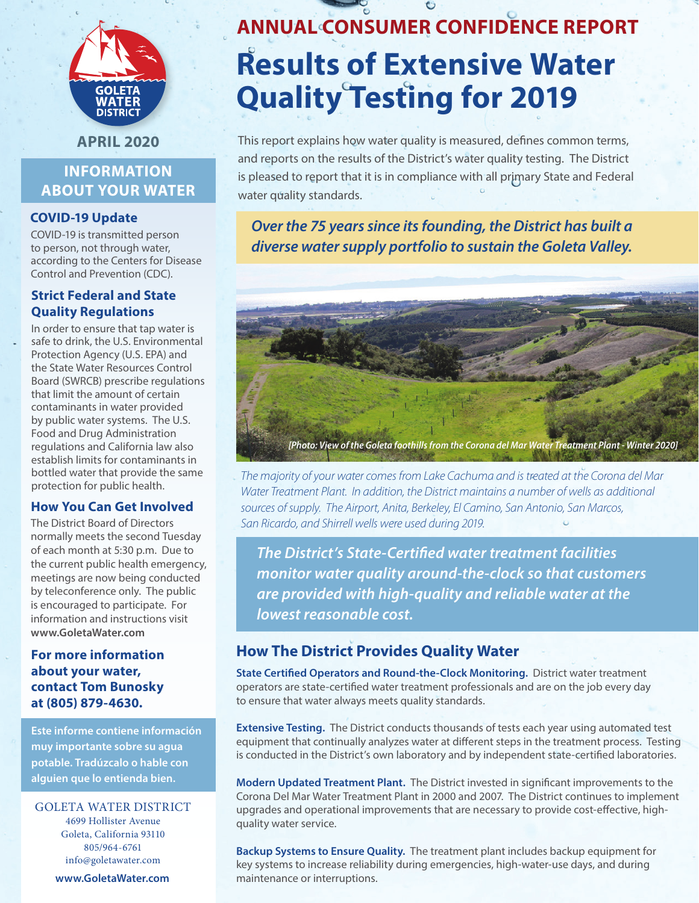

**APRIL 2020**

# **INFORMATION ABOUT YOUR WATER**

## **COVID-19 Update**

COVID-19 is transmitted person to person, not through water, according to the Centers for Disease Control and Prevention (CDC).

## **Strict Federal and State Quality Regulations**

In order to ensure that tap water is safe to drink, the U.S. Environmental Protection Agency (U.S. EPA) and the State Water Resources Control Board (SWRCB) prescribe regulations that limit the amount of certain contaminants in water provided by public water systems. The U.S. Food and Drug Administration regulations and California law also establish limits for contaminants in bottled water that provide the same protection for public health.

## **How You Can Get Involved**

The District Board of Directors normally meets the second Tuesday of each month at 5:30 p.m. Due to the current public health emergency, meetings are now being conducted by teleconference only. The public is encouraged to participate. For information and instructions visit **www.GoletaWater.com**

## **For more information about your water, contact Tom Bunosky at (805) 879-4630.**

**Este informe contiene información muy importante sobre su agua potable. Tradúzcalo o hable con alguien que lo entienda bien.**

### GOLETA WATER DISTRICT 4699 Hollister Avenue Goleta, California 93110 805/964-6761

info@goletawater.com

**www.GoletaWater.com**

# **ANNUAL CONSUMER CONFIDENCE REPORT Results of Extensive Water Quality Testing for 2019**

This report explains how water quality is measured, defines common terms, and reports on the results of the District's water quality testing. The District is pleased to report that it is in compliance with all primary State and Federal water quality standards.

# *Over the 75 years since its founding, the District has built a diverse water supply portfolio to sustain the Goleta Valley.*



*The majority of your water comes from Lake Cachuma and is treated at the Corona del Mar Water Treatment Plant. In addition, the District maintains a number of wells as additional sources of supply. The Airport, Anita, Berkeley, El Camino, San Antonio, San Marcos, San Ricardo, and Shirrell wells were used during 2019.*

*The District's State-Certified water treatment facilities monitor water quality around-the-clock so that customers are provided with high-quality and reliable water at the lowest reasonable cost.*

# **How The District Provides Quality Water**

**State Certified Operators and Round-the-Clock Monitoring.** District water treatment operators are state-certified water treatment professionals and are on the job every day to ensure that water always meets quality standards.

**Extensive Testing.** The District conducts thousands of tests each year using automated test equipment that continually analyzes water at different steps in the treatment process. Testing is conducted in the District's own laboratory and by independent state-certified laboratories.

**Modern Updated Treatment Plant.** The District invested in significant improvements to the Corona Del Mar Water Treatment Plant in 2000 and 2007. The District continues to implement upgrades and operational improvements that are necessary to provide cost-effective, highquality water service.

**Backup Systems to Ensure Quality.** The treatment plant includes backup equipment for key systems to increase reliability during emergencies, high-water-use days, and during maintenance or interruptions.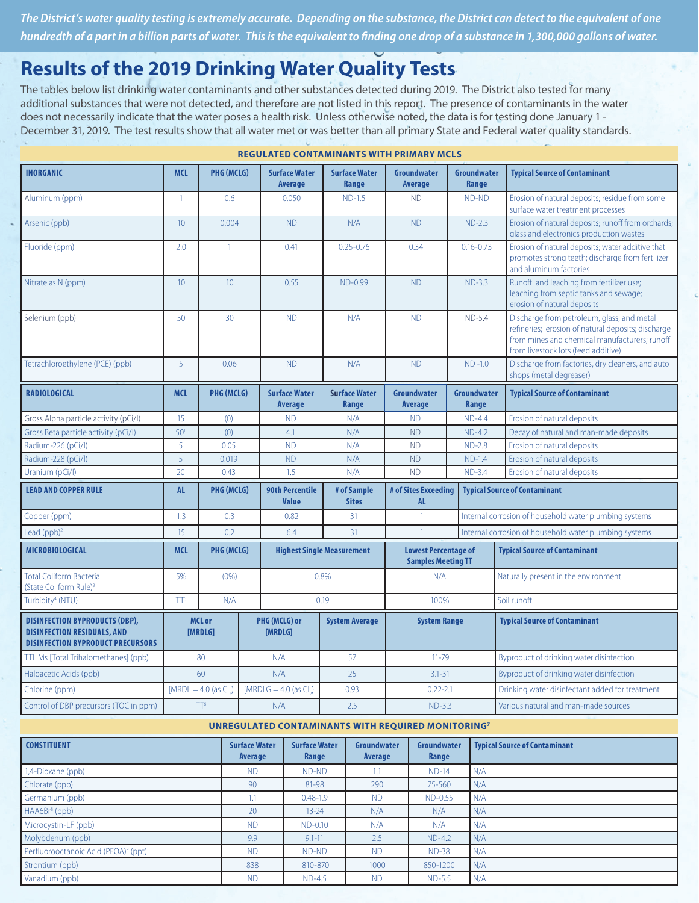*The District's water quality testing is extremely accurate. Depending on the substance, the District can detect to the equivalent of one hundredth of a part in a billion parts of water. This is the equivalent to finding one drop of a substance in 1,300,000 gallons of water.*

# **Results of the 2019 Drinking Water Quality Tests**

The tables below list drinking water contaminants and other substances detected during 2019. The District also tested for many additional substances that were not detected, and therefore are not listed in this report. The presence of contaminants in the water does not necessarily indicate that the water poses a health risk. Unless otherwise noted, the data is for testing done January 1 - December 31, 2019. The test results show that all water met or was better than all primary State and Federal water quality standards.

| <b>INORGANIC</b>                                                                                                        | <b>MCL</b>               | <b>PHG (MCLG)</b>                                    |      | <b>Surface Water</b><br><b>Average</b> | <b>Surface Water</b><br>Range        | <b>Groundwater</b><br><b>Average</b>                     | <b>Groundwater</b><br>Range | <b>Typical Source of Contaminant</b>                                                                                                                                                     |  |
|-------------------------------------------------------------------------------------------------------------------------|--------------------------|------------------------------------------------------|------|----------------------------------------|--------------------------------------|----------------------------------------------------------|-----------------------------|------------------------------------------------------------------------------------------------------------------------------------------------------------------------------------------|--|
| Aluminum (ppm)                                                                                                          | $\mathbf{1}$             | 0.6                                                  |      | 0.050                                  | $ND-1.5$                             | <b>ND</b>                                                | ND-ND                       | Erosion of natural deposits; residue from some<br>surface water treatment processes                                                                                                      |  |
| Arsenic (ppb)                                                                                                           | 10 <sup>1</sup>          | 0.004                                                |      | <b>ND</b>                              | N/A                                  | <b>ND</b>                                                | $ND-2.3$                    | Erosion of natural deposits; runoff from orchards;<br>glass and electronics production wastes                                                                                            |  |
| Fluoride (ppm)                                                                                                          | 2.0                      | $\overline{1}$                                       |      | 0.41                                   | $0.25 - 0.76$                        | 0.34                                                     | $0.16 - 0.73$               | Erosion of natural deposits; water additive that<br>promotes strong teeth; discharge from fertilizer<br>and aluminum factories                                                           |  |
| Nitrate as N (ppm)                                                                                                      | 10 <sup>°</sup>          | 10 <sup>°</sup>                                      |      | 0.55                                   | ND-0.99                              | <b>ND</b>                                                | $ND-3.3$                    | Runoff and leaching from fertilizer use;<br>leaching from septic tanks and sewage;<br>erosion of natural deposits                                                                        |  |
| Selenium (ppb)                                                                                                          | 50                       | 30                                                   |      | <b>ND</b>                              | N/A                                  | <b>ND</b>                                                | $ND-5.4$                    | Discharge from petroleum, glass, and metal<br>refineries; erosion of natural deposits; discharge<br>from mines and chemical manufacturers; runoff<br>from livestock lots (feed additive) |  |
| Tetrachloroethylene (PCE) (ppb)                                                                                         | $\overline{5}$           | 0.06                                                 |      | <b>ND</b>                              | N/A                                  | <b>ND</b>                                                | $ND -1.0$                   | Discharge from factories, dry cleaners, and auto<br>shops (metal degreaser)                                                                                                              |  |
| <b>RADIOLOGICAL</b>                                                                                                     | <b>MCL</b>               | <b>PHG (MCLG)</b>                                    |      | <b>Surface Water</b><br>Average        | <b>Surface Water</b><br><b>Range</b> | <b>Groundwater</b><br>Average                            | Groundwater<br>Range        | <b>Typical Source of Contaminant</b>                                                                                                                                                     |  |
| Gross Alpha particle activity (pCi/l)                                                                                   | 15                       | (0)                                                  |      | <b>ND</b>                              | N/A                                  | <b>ND</b>                                                | $ND-4.4$                    | Erosion of natural deposits                                                                                                                                                              |  |
| Gross Beta particle activity (pCi/l)                                                                                    | 50 <sup>1</sup>          | (0)                                                  |      | 4.1                                    | N/A                                  | <b>ND</b>                                                | $ND-4.2$                    | Decay of natural and man-made deposits                                                                                                                                                   |  |
| Radium-226 (pCi/l)                                                                                                      | 5                        | 0.05                                                 |      | <b>ND</b>                              | N/A                                  | <b>ND</b>                                                | $ND-2.8$                    | Erosion of natural deposits                                                                                                                                                              |  |
| Radium-228 (pCi/l)                                                                                                      | 5                        | 0.019                                                |      | <b>ND</b>                              | N/A                                  | <b>ND</b>                                                | $ND-1.4$                    | Erosion of natural deposits                                                                                                                                                              |  |
| Uranium (pCi/l)                                                                                                         | 20                       | 0.43                                                 |      | 1.5                                    | N/A                                  | <b>ND</b>                                                | $ND-3.4$                    | Erosion of natural deposits                                                                                                                                                              |  |
| <b>LEAD AND COPPER RULE</b>                                                                                             | <b>AL</b>                | PHG (MCLG)<br><b>90th Percentile</b><br><b>Value</b> |      | # of Sample<br><b>Sites</b>            | # of Sites Exceeding<br><b>AL</b>    | <b>Typical Source of Contaminant</b>                     |                             |                                                                                                                                                                                          |  |
| Copper (ppm)                                                                                                            | 1.3                      | 0.3                                                  | 0.82 |                                        | 31                                   | $\mathbf{1}$                                             |                             | Internal corrosion of household water plumbing systems                                                                                                                                   |  |
| Lead $(ppb)^2$                                                                                                          | 15                       | 0.2                                                  | 6.4  |                                        | 31                                   | $\overline{1}$                                           |                             | Internal corrosion of household water plumbing systems                                                                                                                                   |  |
| MICROBIOLOGICAL                                                                                                         | <b>MCL</b>               | PHG (MCLG)                                           |      |                                        | <b>Highest Single Measurement</b>    | <b>Lowest Percentage of</b><br><b>Samples Meeting TT</b> |                             | <b>Typical Source of Contaminant</b>                                                                                                                                                     |  |
| <b>Total Coliform Bacteria</b><br>(State Coliform Rule) <sup>3</sup>                                                    | 5%                       | (0% )                                                |      |                                        | 0.8%                                 | N/A                                                      |                             | Naturally present in the environment                                                                                                                                                     |  |
| Turbidity <sup>4</sup> (NTU)                                                                                            | TT <sup>5</sup>          | N/A                                                  |      | 0.19                                   |                                      | 100%                                                     |                             | Soil runoff                                                                                                                                                                              |  |
| <b>DISINFECTION BYPRODUCTS (DBP),</b><br><b>DISINFECTION RESIDUALS, AND</b><br><b>DISINFECTION BYPRODUCT PRECURSORS</b> | <b>MCL or</b><br>[MRDLG] |                                                      |      | PHG (MCLG) or<br>[MRDLG]               | <b>System Average</b>                | <b>System Range</b>                                      |                             | <b>Typical Source of Contaminant</b>                                                                                                                                                     |  |
| TTHMs [Total Trihalomethanes] (ppb)                                                                                     |                          | 80                                                   |      | N/A                                    | 57                                   | $11 - 79$                                                |                             | Byproduct of drinking water disinfection                                                                                                                                                 |  |
| Haloacetic Acids (ppb)                                                                                                  |                          | 60                                                   |      | N/A                                    | 25                                   | $3.1 - 31$                                               |                             | Byproduct of drinking water disinfection                                                                                                                                                 |  |
| Chlorine (ppm)                                                                                                          |                          | $[MRDL = 4.0$ (as Cl.)                               |      | [MRDLG = $4.0$ (as Cl.)                | 0.93                                 | $0.22 - 2.1$                                             |                             | Drinking water disinfectant added for treatment                                                                                                                                          |  |
| Control of DBP precursors (TOC in ppm)                                                                                  |                          | TT <sup>6</sup>                                      |      | N/A                                    | 2.5                                  | $ND-3.3$                                                 |                             | Various natural and man-made sources                                                                                                                                                     |  |

**REGULATED CONTAMINANTS WITH PRIMARY MCLS**

#### **UNREGULATED CONTAMINANTS WITH REQUIRED MONITORING7**

| <b>CONSTITUENT</b>                               | <b>Surface Water</b><br>Average | <b>Surface Water</b><br>Range | Groundwater<br>Average | Groundwater<br>Range | <b>Typical Source of Contaminant</b> |
|--------------------------------------------------|---------------------------------|-------------------------------|------------------------|----------------------|--------------------------------------|
| 1,4-Dioxane (ppb)                                | <b>ND</b>                       | ND-ND                         | ы                      | $ND-14$              | N/A                                  |
| Chlorate (ppb)                                   | 90                              | 81-98                         | 290                    | 75-560               | N/A                                  |
| Germanium (ppb)                                  | 1.1                             | $0.48 - 1.9$                  | <b>ND</b>              | ND-0.55              | N/A                                  |
| $HAA6Br8$ (ppb)                                  | 20                              | $13 - 24$                     | N/A                    | N/A                  | N/A                                  |
| Microcystin-LF (ppb)                             | <b>ND</b>                       | ND-0.10                       | N/A                    | N/A                  | N/A                                  |
| Molybdenum (ppb)                                 | 9.9                             | $9.1 - 11$                    | 2.5                    | $ND-4.2$             | I N/A                                |
| Perfluorooctanoic Acid (PFOA) <sup>9</sup> (ppt) | <b>ND</b>                       | ND-ND                         | <b>ND</b>              | <b>ND-38</b>         | N/A                                  |
| Strontium (ppb)                                  | 838                             | 810-870                       | 1000                   | 850-1200             | N/A                                  |
| Vanadium (ppb)                                   | <b>ND</b>                       | $ND-4.5$                      | <b>ND</b>              | $ND-5.5$             | N/A                                  |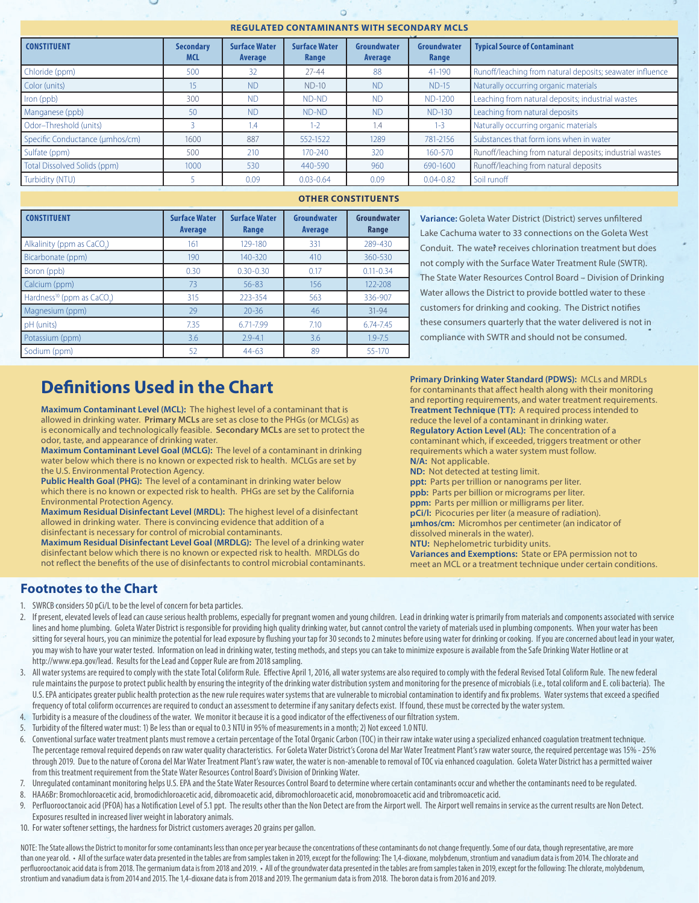#### **REGULATED CONTAMINANTS WITH SECONDARY MCLS**

ö

| <b>CONSTITUENT</b>              | <b>Secondary</b><br><b>MCL</b> | <b>Surface Water</b><br>Average | <b>Surface Water</b><br>Range | Groundwater<br>Average | Groundwater<br>Range | <b>Typical Source of Contaminant</b>                      |
|---------------------------------|--------------------------------|---------------------------------|-------------------------------|------------------------|----------------------|-----------------------------------------------------------|
| Chloride (ppm)                  | 500                            | 32                              | $27 - 44$                     | 88                     | 41-190               | Runoff/leaching from natural deposits; seawater influence |
| Color (units)                   | 15                             | <b>ND</b>                       | $ND-10$                       | <b>ND</b>              | $ND-15$              | Naturally occurring organic materials                     |
| Iron (ppb)                      | 300                            | <b>ND</b>                       | ND-ND                         | <b>ND</b>              | ND-1200              | Leaching from natural deposits; industrial wastes         |
| Manganese (ppb)                 | 50                             | <b>ND</b>                       | ND-ND                         | <b>ND</b>              | <b>ND-130</b>        | Leaching from natural deposits                            |
| Odor-Threshold (units)          |                                | 1.4                             | $1 - 2$                       | 1.4                    | $1 - 3$              | Naturally occurring organic materials                     |
| Specific Conductance (umhos/cm) | 1600                           | 887                             | 552-1522                      | 1289                   | 781-2156             | Substances that form ions when in water                   |
| Sulfate (ppm)                   | 500                            | 210                             | $170 - 240$                   | 320                    | 160-570              | Runoff/leaching from natural deposits; industrial wastes  |
| Total Dissolved Solids (ppm)    | 1000                           | 530                             | 440-590                       | 960                    | 690-1600             | Runoff/leaching from natural deposits                     |
| Turbidity (NTU)                 |                                | 0.09                            | $0.03 - 0.64$                 | 0.09                   | $0.04 - 0.82$        | Soil runoff                                               |

#### **OTHER CONSTITUENTS**

| <b>CONSTITUENT</b>                                 | <b>Surface Water</b><br><b>Average</b> | <b>Surface Water</b><br>Range | Groundwater<br>Average | Groundwater<br>Range |
|----------------------------------------------------|----------------------------------------|-------------------------------|------------------------|----------------------|
| Alkalinity (ppm as CaCO.)                          | 161                                    | 129-180                       | 331                    | 289-430              |
| Bicarbonate (ppm)                                  | 190                                    | $140 - 320$                   | 410                    | 360-530              |
| Boron (ppb)                                        | 0.30                                   | $0.30 - 0.30$                 | 0.17                   | $0.11 - 0.34$        |
| Calcium (ppm)                                      | 73                                     | $56 - 83$                     | 156                    | 122-208              |
| Hardness <sup>10</sup> (ppm as CaCO <sub>3</sub> ) | 315                                    | 223-354                       | 563                    | 336-907              |
| Magnesium (ppm)                                    | 29                                     | $20 - 36$                     | 46                     | 31-94                |
| pH (units)                                         | 7.35                                   | 6.71-7.99                     | 7.10                   | 6.74-7.45            |
| Potassium (ppm)                                    | 3.6                                    | $2.9 - 4.1$                   | 3.6                    | $1.9 - 7.5$          |
| Sodium (ppm)                                       | 52                                     | $44 - 63$                     | 89                     | 55-170               |

**Definitions Used in the Chart**

**Maximum Contaminant Level (MCL):** The highest level of a contaminant that is allowed in drinking water. **Primary MCLs** are set as close to the PHGs (or MCLGs) as is economically and technologically feasible. **Secondary MCLs** are set to protect the odor, taste, and appearance of drinking water.

**Maximum Contaminant Level Goal (MCLG):** The level of a contaminant in drinking water below which there is no known or expected risk to health. MCLGs are set by the U.S. Environmental Protection Agency.

**Public Health Goal (PHG):** The level of a contaminant in drinking water below which there is no known or expected risk to health. PHGs are set by the California Environmental Protection Agency.

**Maximum Residual Disinfectant Level (MRDL):** The highest level of a disinfectant allowed in drinking water. There is convincing evidence that addition of a disinfectant is necessary for control of microbial contaminants.

**Maximum Residual Disinfectant Level Goal (MRDLG):** The level of a drinking water disinfectant below which there is no known or expected risk to health. MRDLGs do not reflect the benefits of the use of disinfectants to control microbial contaminants.

**Variance:** Goleta Water District (District) serves unfiltered Lake Cachuma water to 33 connections on the Goleta West Conduit. The water receives chlorination treatment but does not comply with the Surface Water Treatment Rule (SWTR). The State Water Resources Control Board – Division of Drinking Water allows the District to provide bottled water to these customers for drinking and cooking. The District notifies these consumers quarterly that the water delivered is not in compliance with SWTR and should not be consumed.

**Primary Drinking Water Standard (PDWS):** MCLs and MRDLs for contaminants that affect health along with their monitoring and reporting requirements, and water treatment requirements. **Treatment Technique (TT):** A required process intended to reduce the level of a contaminant in drinking water. **Regulatory Action Level (AL):** The concentration of a contaminant which, if exceeded, triggers treatment or other requirements which a water system must follow. **N/A:** Not applicable. **ND:** Not detected at testing limit. **ppt:** Parts per trillion or nanograms per liter. **ppb:** Parts per billion or micrograms per liter. **ppm:** Parts per million or milligrams per liter. **pCi/l:** Picocuries per liter (a measure of radiation). **μmhos/cm:** Micromhos per centimeter (an indicator of dissolved minerals in the water). **NTU:** Nephelometric turbidity units.

**Variances and Exemptions:** State or EPA permission not to meet an MCL or a treatment technique under certain conditions.

## **Footnotes to the Chart**

- 1. SWRCB considers 50 pCi/L to be the level of concern for beta particles.
- 2. If present, elevated levels of lead can cause serious health problems, especially for pregnant women and young children. Lead in drinking water is primarily from materials and components associated with service lines and home plumbing. Goleta Water District is responsible for providing high quality drinking water, but cannot control the variety of materials used in plumbing components. When your water has been sitting for several hours, you can minimize the potential for lead exposure by flushing your tap for 30 seconds to 2 minutes before using water for drinking or cooking. If you are concerned about lead in your water, you may wish to have your water tested. Information on lead in drinking water, testing methods, and steps you can take to minimize exposure is available from the Safe Drinking Water Hotline or at http://www.epa.gov/lead. Results for the Lead and Copper Rule are from 2018 sampling.
- 3. All water systems are required to comply with the state Total Coliform Rule. Effective April 1, 2016, all water systems are also required to comply with the federal Revised Total Coliform Rule. The new federal rule maintains the purpose to protect public health by ensuring the integrity of the drinking water distribution system and monitoring for the presence of microbials (i.e., total coliform and E. coli bacteria). The U.S. EPA anticipates greater public health protection as the new rule requires water systems that are vulnerable to microbial contamination to identify and fix problems. Water systems that exceed a specified frequency of total coliform occurrences are required to conduct an assessment to determine if any sanitary defects exist. If found, these must be corrected by the water system.
- 4. Turbidity is a measure of the cloudiness of the water. We monitor it because it is a good indicator of the effectiveness of our filtration system.
- 5. Turbidity of the filtered water must: 1) Be less than or equal to 0.3 NTU in 95% of measurements in a month; 2) Not exceed 1.0 NTU.
- 6. Conventional surface water treatment plants must remove a certain percentage of the Total Organic Carbon (TOC) in their raw intake water using a specialized enhanced coagulation treatment technique. The percentage removal required depends on raw water quality characteristics. For Goleta Water District's Corona del Mar Water Treatment Plant's raw water source, the required percentage was 15% - 25% through 2019. Due to the nature of Corona del Mar Water Treatment Plant's raw water, the water is non-amenable to removal of TOC via enhanced coagulation. Goleta Water District has a permitted waiver from this treatment requirement from the State Water Resources Control Board's Division of Drinking Water.
- 7. Unregulated contaminant monitoring helps U.S. EPA and the State Water Resources Control Board to determine where certain contaminants occur and whether the contaminants need to be regulated.
- 8. HAA6Br: Bromochloroacetic acid, bromodichloroacetic acid, dibromoacetic acid, dibromochloroacetic acid, monobromoacetic acid and tribromoacetic acid.
- 9. Perfluorooctanoic acid (PFOA) has a Notification Level of 5.1 ppt. The results other than the Non Detect are from the Airport well. The Airport well remains in service as the current results are Non Detect. Exposures resulted in increased liver weight in laboratory animals.
- 10. For water softener settings, the hardness for District customers averages 20 grains per gallon.

NOTE: The State allows the District to monitor for some contaminants less than once per year because the concentrations of these contaminants do not change frequently. Some of our data, though representative, are more than one year old. • All of the surface water data presented in the tables are from samples taken in 2019, except for the following: The 1,4-dioxane, molybdenum, strontium and vanadium data is from 2014. The chlorate and perfluorooctanoic acid data is from 2018. The germanium data is from 2018 and 2019. • All of the groundwater data presented in the tables are from samples taken in 2019, except for the following: The chlorate, molybdenum, strontium and vanadium data is from 2014 and 2015. The 1,4-dioxane data is from 2018 and 2019. The germanium data is from 2018. The boron data is from 2016 and 2019.